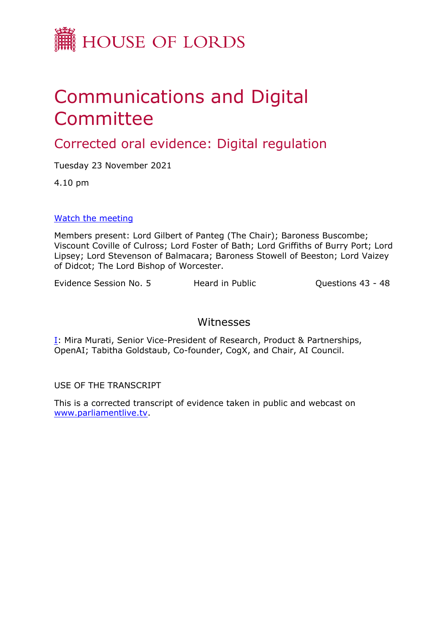

# Communications and Digital Committee

# Corrected oral evidence: Digital regulation

Tuesday 23 November 2021

4.10 pm

#### [Watch](https://parliamentlive.tv/event/index/9a6da2bb-ac08-413c-94c1-485d3953cfff) [the](https://parliamentlive.tv/event/index/9a6da2bb-ac08-413c-94c1-485d3953cfff) [meeting](https://parliamentlive.tv/event/index/9a6da2bb-ac08-413c-94c1-485d3953cfff)

Members present: Lord Gilbert of Panteg (The Chair); Baroness Buscombe; Viscount Coville of Culross; Lord Foster of Bath; Lord Griffiths of Burry Port; Lord Lipsey; Lord Stevenson of Balmacara; Baroness Stowell of Beeston; Lord Vaizey of Didcot; The Lord Bishop of Worcester.

Evidence Session No. 5 Heard in Public Cuestions 43 - 48

## Witnesses

[I:](#page-1-0) Mira Murati, Senior Vice-President of Research, Product & Partnerships, OpenAI; Tabitha Goldstaub, Co-founder, CogX, and Chair, AI Council.

USE OF THE TRANSCRIPT

This is a corrected transcript of evidence taken in public and webcast on [www.parliamentlive.tv](http://www.parliamentlive.tv/).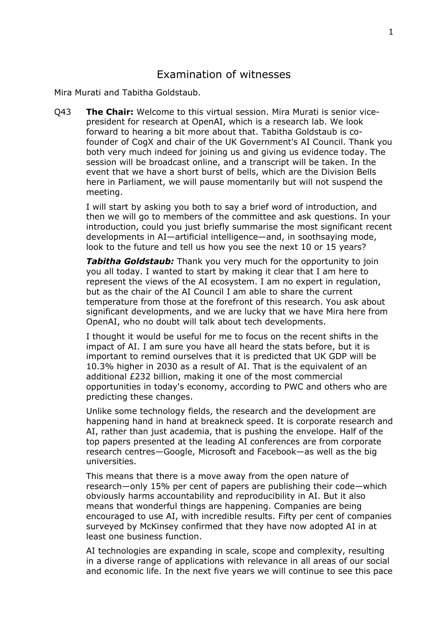### <span id="page-1-0"></span>Examination of witnesses

Mira Murati and Tabitha Goldstaub.

Q43 **The Chair:** Welcome to this virtual session. Mira Murati is senior vicepresident for research at OpenAI, which is a research lab. We look forward to hearing a bit more about that. Tabitha Goldstaub is cofounder of CogX and chair of the UK Government's AI Council. Thank you both very much indeed for joining us and giving us evidence today. The session will be broadcast online, and a transcript will be taken. In the event that we have a short burst of bells, which are the Division Bells here in Parliament, we will pause momentarily but will not suspend the meeting.

I will start by asking you both to say a brief word of introduction, and then we will go to members of the committee and ask questions. In your introduction, could you just briefly summarise the most significant recent developments in AI—artificial intelligence—and, in soothsaying mode, look to the future and tell us how you see the next 10 or 15 years?

*Tabitha Goldstaub:* Thank you very much for the opportunity to join you all today. I wanted to start by making it clear that I am here to represent the views of the AI ecosystem. I am no expert in regulation, but as the chair of the AI Council I am able to share the current temperature from those at the forefront of this research. You ask about significant developments, and we are lucky that we have Mira here from OpenAI, who no doubt will talk about tech developments.

I thought it would be useful for me to focus on the recent shifts in the impact of AI. I am sure you have all heard the stats before, but it is important to remind ourselves that it is predicted that UK GDP will be 10.3% higher in 2030 as a result of AI. That is the equivalent of an additional £232 billion, making it one of the most commercial opportunities in today's economy, according to PWC and others who are predicting these changes.

Unlike some technology fields, the research and the development are happening hand in hand at breakneck speed. It is corporate research and AI, rather than just academia, that is pushing the envelope. Half of the top papers presented at the leading AI conferences are from corporate research centres—Google, Microsoft and Facebook—as well as the big universities.

This means that there is a move away from the open nature of research—only 15% per cent of papers are publishing their code—which obviously harms accountability and reproducibility in AI. But it also means that wonderful things are happening. Companies are being encouraged to use AI, with incredible results. Fifty per cent of companies surveyed by McKinsey confirmed that they have now adopted AI in at least one business function.

AI technologies are expanding in scale, scope and complexity, resulting in a diverse range of applications with relevance in all areas of our social and economic life. In the next five years we will continue to see this pace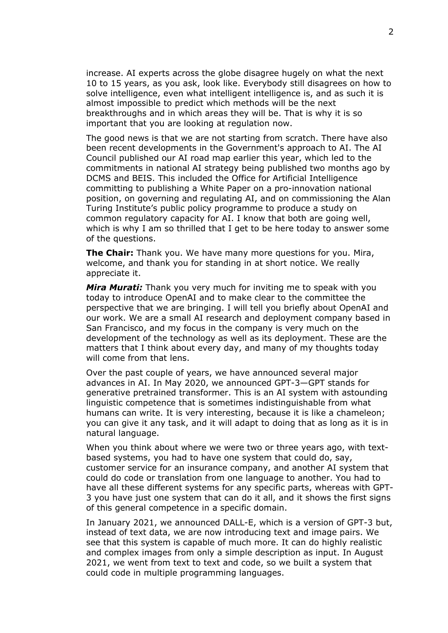increase. AI experts across the globe disagree hugely on what the next 10 to 15 years, as you ask, look like. Everybody still disagrees on how to solve intelligence, even what intelligent intelligence is, and as such it is almost impossible to predict which methods will be the next breakthroughs and in which areas they will be. That is why it is so important that you are looking at regulation now.

The good news is that we are not starting from scratch. There have also been recent developments in the Government's approach to AI. The AI Council published our AI road map earlier this year, which led to the commitments in national AI strategy being published two months ago by DCMS and BEIS. This included the Office for Artificial Intelligence committing to publishing a White Paper on a pro-innovation national position, on governing and regulating AI, and on commissioning the Alan Turing Institute's public policy programme to produce a study on common regulatory capacity for AI. I know that both are going well, which is why I am so thrilled that I get to be here today to answer some of the questions.

**The Chair:** Thank you. We have many more questions for you. Mira, welcome, and thank you for standing in at short notice. We really appreciate it.

*Mira Murati:* Thank you very much for inviting me to speak with you today to introduce OpenAI and to make clear to the committee the perspective that we are bringing. I will tell you briefly about OpenAI and our work. We are a small AI research and deployment company based in San Francisco, and my focus in the company is very much on the development of the technology as well as its deployment. These are the matters that I think about every day, and many of my thoughts today will come from that lens.

Over the past couple of years, we have announced several major advances in AI. In May 2020, we announced GPT-3—GPT stands for generative pretrained transformer. This is an AI system with astounding linguistic competence that is sometimes indistinguishable from what humans can write. It is very interesting, because it is like a chameleon; you can give it any task, and it will adapt to doing that as long as it is in natural language.

When you think about where we were two or three years ago, with textbased systems, you had to have one system that could do, say, customer service for an insurance company, and another AI system that could do code or translation from one language to another. You had to have all these different systems for any specific parts, whereas with GPT-3 you have just one system that can do it all, and it shows the first signs of this general competence in a specific domain.

In January 2021, we announced DALL-E, which is a version of GPT-3 but, instead of text data, we are now introducing text and image pairs. We see that this system is capable of much more. It can do highly realistic and complex images from only a simple description as input. In August 2021, we went from text to text and code, so we built a system that could code in multiple programming languages.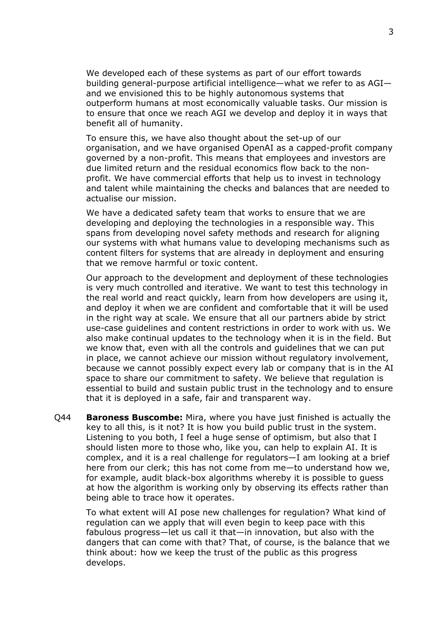We developed each of these systems as part of our effort towards building general-purpose artificial intelligence—what we refer to as AGI and we envisioned this to be highly autonomous systems that outperform humans at most economically valuable tasks. Our mission is to ensure that once we reach AGI we develop and deploy it in ways that benefit all of humanity.

To ensure this, we have also thought about the set-up of our organisation, and we have organised OpenAI as a capped-profit company governed by a non-profit. This means that employees and investors are due limited return and the residual economics flow back to the nonprofit. We have commercial efforts that help us to invest in technology and talent while maintaining the checks and balances that are needed to actualise our mission.

We have a dedicated safety team that works to ensure that we are developing and deploying the technologies in a responsible way. This spans from developing novel safety methods and research for aligning our systems with what humans value to developing mechanisms such as content filters for systems that are already in deployment and ensuring that we remove harmful or toxic content.

Our approach to the development and deployment of these technologies is very much controlled and iterative. We want to test this technology in the real world and react quickly, learn from how developers are using it, and deploy it when we are confident and comfortable that it will be used in the right way at scale. We ensure that all our partners abide by strict use-case guidelines and content restrictions in order to work with us. We also make continual updates to the technology when it is in the field. But we know that, even with all the controls and guidelines that we can put in place, we cannot achieve our mission without regulatory involvement, because we cannot possibly expect every lab or company that is in the AI space to share our commitment to safety. We believe that regulation is essential to build and sustain public trust in the technology and to ensure that it is deployed in a safe, fair and transparent way.

Q44 **Baroness Buscombe:** Mira, where you have just finished is actually the key to all this, is it not? It is how you build public trust in the system. Listening to you both, I feel a huge sense of optimism, but also that I should listen more to those who, like you, can help to explain AI. It is complex, and it is a real challenge for regulators—I am looking at a brief here from our clerk; this has not come from me—to understand how we, for example, audit black-box algorithms whereby it is possible to guess at how the algorithm is working only by observing its effects rather than being able to trace how it operates.

To what extent will AI pose new challenges for regulation? What kind of regulation can we apply that will even begin to keep pace with this fabulous progress—let us call it that—in innovation, but also with the dangers that can come with that? That, of course, is the balance that we think about: how we keep the trust of the public as this progress develops.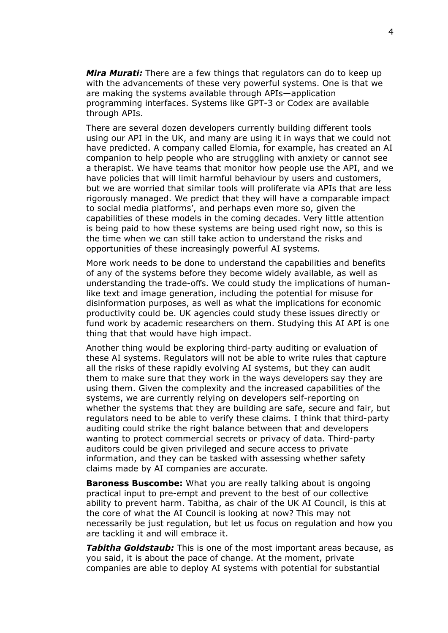*Mira Murati:* There are a few things that regulators can do to keep up with the advancements of these very powerful systems. One is that we are making the systems available through APIs—application programming interfaces. Systems like GPT-3 or Codex are available through APIs.

There are several dozen developers currently building different tools using our API in the UK, and many are using it in ways that we could not have predicted. A company called Elomia, for example, has created an AI companion to help people who are struggling with anxiety or cannot see a therapist. We have teams that monitor how people use the API, and we have policies that will limit harmful behaviour by users and customers, but we are worried that similar tools will proliferate via APIs that are less rigorously managed. We predict that they will have a comparable impact to social media platforms', and perhaps even more so, given the capabilities of these models in the coming decades. Very little attention is being paid to how these systems are being used right now, so this is the time when we can still take action to understand the risks and opportunities of these increasingly powerful AI systems.

More work needs to be done to understand the capabilities and benefits of any of the systems before they become widely available, as well as understanding the trade-offs. We could study the implications of humanlike text and image generation, including the potential for misuse for disinformation purposes, as well as what the implications for economic productivity could be. UK agencies could study these issues directly or fund work by academic researchers on them. Studying this AI API is one thing that that would have high impact.

Another thing would be exploring third-party auditing or evaluation of these AI systems. Regulators will not be able to write rules that capture all the risks of these rapidly evolving AI systems, but they can audit them to make sure that they work in the ways developers say they are using them. Given the complexity and the increased capabilities of the systems, we are currently relying on developers self-reporting on whether the systems that they are building are safe, secure and fair, but regulators need to be able to verify these claims. I think that third-party auditing could strike the right balance between that and developers wanting to protect commercial secrets or privacy of data. Third-party auditors could be given privileged and secure access to private information, and they can be tasked with assessing whether safety claims made by AI companies are accurate.

**Baroness Buscombe:** What you are really talking about is ongoing practical input to pre-empt and prevent to the best of our collective ability to prevent harm. Tabitha, as chair of the UK AI Council, is this at the core of what the AI Council is looking at now? This may not necessarily be just regulation, but let us focus on regulation and how you are tackling it and will embrace it.

*Tabitha Goldstaub:* This is one of the most important areas because, as you said, it is about the pace of change. At the moment, private companies are able to deploy AI systems with potential for substantial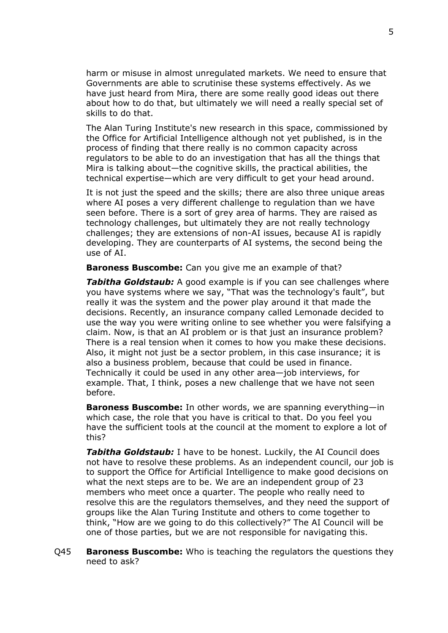harm or misuse in almost unregulated markets. We need to ensure that Governments are able to scrutinise these systems effectively. As we have just heard from Mira, there are some really good ideas out there about how to do that, but ultimately we will need a really special set of skills to do that.

The Alan Turing Institute's new research in this space, commissioned by the Office for Artificial Intelligence although not yet published, is in the process of finding that there really is no common capacity across regulators to be able to do an investigation that has all the things that Mira is talking about—the cognitive skills, the practical abilities, the technical expertise—which are very difficult to get your head around.

It is not just the speed and the skills; there are also three unique areas where AI poses a very different challenge to regulation than we have seen before. There is a sort of grey area of harms. They are raised as technology challenges, but ultimately they are not really technology challenges; they are extensions of non-AI issues, because AI is rapidly developing. They are counterparts of AI systems, the second being the use of AI.

**Baroness Buscombe:** Can you give me an example of that?

*Tabitha Goldstaub:* A good example is if you can see challenges where you have systems where we say, "That was the technology's fault", but really it was the system and the power play around it that made the decisions. Recently, an insurance company called Lemonade decided to use the way you were writing online to see whether you were falsifying a claim. Now, is that an AI problem or is that just an insurance problem? There is a real tension when it comes to how you make these decisions. Also, it might not just be a sector problem, in this case insurance; it is also a business problem, because that could be used in finance. Technically it could be used in any other area—job interviews, for example. That, I think, poses a new challenge that we have not seen before.

**Baroness Buscombe:** In other words, we are spanning everything—in which case, the role that you have is critical to that. Do you feel you have the sufficient tools at the council at the moment to explore a lot of this?

*Tabitha Goldstaub:* I have to be honest. Luckily, the AI Council does not have to resolve these problems. As an independent council, our job is to support the Office for Artificial Intelligence to make good decisions on what the next steps are to be. We are an independent group of 23 members who meet once a quarter. The people who really need to resolve this are the regulators themselves, and they need the support of groups like the Alan Turing Institute and others to come together to think, "How are we going to do this collectively?" The AI Council will be one of those parties, but we are not responsible for navigating this.

Q45 **Baroness Buscombe:** Who is teaching the regulators the questions they need to ask?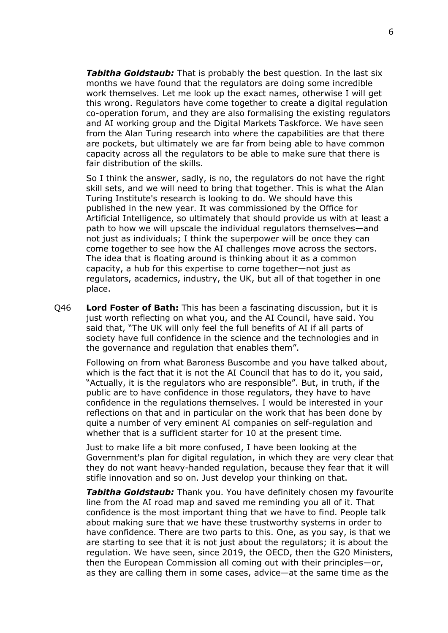*Tabitha Goldstaub:* That is probably the best question. In the last six months we have found that the regulators are doing some incredible work themselves. Let me look up the exact names, otherwise I will get this wrong. Regulators have come together to create a digital regulation co-operation forum, and they are also formalising the existing regulators and AI working group and the Digital Markets Taskforce. We have seen from the Alan Turing research into where the capabilities are that there are pockets, but ultimately we are far from being able to have common capacity across all the regulators to be able to make sure that there is fair distribution of the skills.

So I think the answer, sadly, is no, the regulators do not have the right skill sets, and we will need to bring that together. This is what the Alan Turing Institute's research is looking to do. We should have this published in the new year. It was commissioned by the Office for Artificial Intelligence, so ultimately that should provide us with at least a path to how we will upscale the individual regulators themselves—and not just as individuals; I think the superpower will be once they can come together to see how the AI challenges move across the sectors. The idea that is floating around is thinking about it as a common capacity, a hub for this expertise to come together—not just as regulators, academics, industry, the UK, but all of that together in one place.

Q46 **Lord Foster of Bath:** This has been a fascinating discussion, but it is just worth reflecting on what you, and the AI Council, have said. You said that, "The UK will only feel the full benefits of AI if all parts of society have full confidence in the science and the technologies and in the governance and regulation that enables them".

Following on from what Baroness Buscombe and you have talked about, which is the fact that it is not the AI Council that has to do it, you said, "Actually, it is the regulators who are responsible". But, in truth, if the public are to have confidence in those regulators, they have to have confidence in the regulations themselves. I would be interested in your reflections on that and in particular on the work that has been done by quite a number of very eminent AI companies on self-regulation and whether that is a sufficient starter for 10 at the present time.

Just to make life a bit more confused, I have been looking at the Government's plan for digital regulation, in which they are very clear that they do not want heavy-handed regulation, because they fear that it will stifle innovation and so on. Just develop your thinking on that.

*Tabitha Goldstaub:* Thank you. You have definitely chosen my favourite line from the AI road map and saved me reminding you all of it. That confidence is the most important thing that we have to find. People talk about making sure that we have these trustworthy systems in order to have confidence. There are two parts to this. One, as you say, is that we are starting to see that it is not just about the regulators; it is about the regulation. We have seen, since 2019, the OECD, then the G20 Ministers, then the European Commission all coming out with their principles—or, as they are calling them in some cases, advice—at the same time as the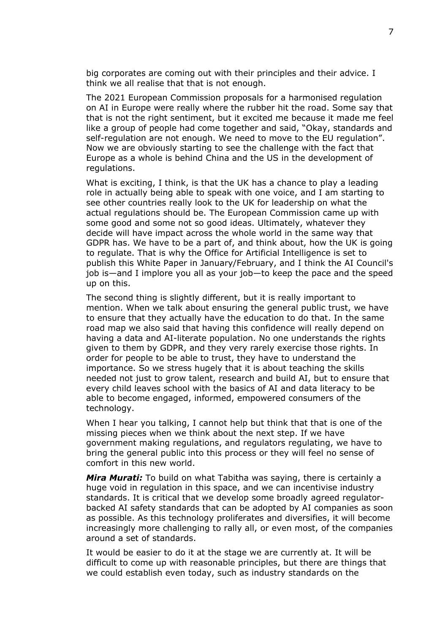big corporates are coming out with their principles and their advice. I think we all realise that that is not enough.

The 2021 European Commission proposals for a harmonised regulation on AI in Europe were really where the rubber hit the road. Some say that that is not the right sentiment, but it excited me because it made me feel like a group of people had come together and said, "Okay, standards and self-regulation are not enough. We need to move to the EU regulation". Now we are obviously starting to see the challenge with the fact that Europe as a whole is behind China and the US in the development of regulations.

What is exciting, I think, is that the UK has a chance to play a leading role in actually being able to speak with one voice, and I am starting to see other countries really look to the UK for leadership on what the actual regulations should be. The European Commission came up with some good and some not so good ideas. Ultimately, whatever they decide will have impact across the whole world in the same way that GDPR has. We have to be a part of, and think about, how the UK is going to regulate. That is why the Office for Artificial Intelligence is set to publish this White Paper in January/February, and I think the AI Council's job is—and I implore you all as your job—to keep the pace and the speed up on this.

The second thing is slightly different, but it is really important to mention. When we talk about ensuring the general public trust, we have to ensure that they actually have the education to do that. In the same road map we also said that having this confidence will really depend on having a data and AI-literate population. No one understands the rights given to them by GDPR, and they very rarely exercise those rights. In order for people to be able to trust, they have to understand the importance. So we stress hugely that it is about teaching the skills needed not just to grow talent, research and build AI, but to ensure that every child leaves school with the basics of AI and data literacy to be able to become engaged, informed, empowered consumers of the technology.

When I hear you talking, I cannot help but think that that is one of the missing pieces when we think about the next step. If we have government making regulations, and regulators regulating, we have to bring the general public into this process or they will feel no sense of comfort in this new world.

*Mira Murati:* To build on what Tabitha was saying, there is certainly a huge void in regulation in this space, and we can incentivise industry standards. It is critical that we develop some broadly agreed regulatorbacked AI safety standards that can be adopted by AI companies as soon as possible. As this technology proliferates and diversifies, it will become increasingly more challenging to rally all, or even most, of the companies around a set of standards.

It would be easier to do it at the stage we are currently at. It will be difficult to come up with reasonable principles, but there are things that we could establish even today, such as industry standards on the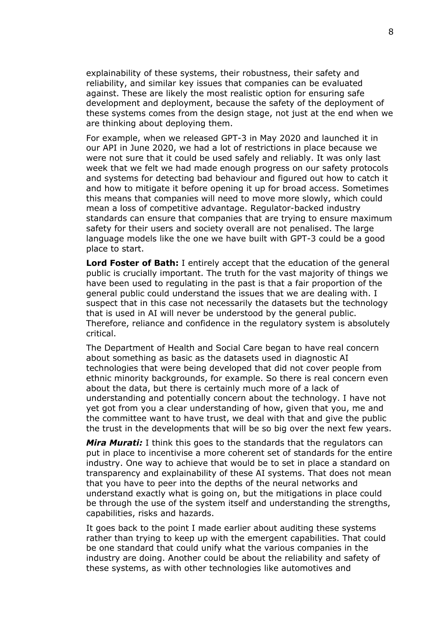explainability of these systems, their robustness, their safety and reliability, and similar key issues that companies can be evaluated against. These are likely the most realistic option for ensuring safe development and deployment, because the safety of the deployment of these systems comes from the design stage, not just at the end when we are thinking about deploying them.

For example, when we released GPT-3 in May 2020 and launched it in our API in June 2020, we had a lot of restrictions in place because we were not sure that it could be used safely and reliably. It was only last week that we felt we had made enough progress on our safety protocols and systems for detecting bad behaviour and figured out how to catch it and how to mitigate it before opening it up for broad access. Sometimes this means that companies will need to move more slowly, which could mean a loss of competitive advantage. Regulator-backed industry standards can ensure that companies that are trying to ensure maximum safety for their users and society overall are not penalised. The large language models like the one we have built with GPT-3 could be a good place to start.

**Lord Foster of Bath:** I entirely accept that the education of the general public is crucially important. The truth for the vast majority of things we have been used to regulating in the past is that a fair proportion of the general public could understand the issues that we are dealing with. I suspect that in this case not necessarily the datasets but the technology that is used in AI will never be understood by the general public. Therefore, reliance and confidence in the regulatory system is absolutely critical.

The Department of Health and Social Care began to have real concern about something as basic as the datasets used in diagnostic AI technologies that were being developed that did not cover people from ethnic minority backgrounds, for example. So there is real concern even about the data, but there is certainly much more of a lack of understanding and potentially concern about the technology. I have not yet got from you a clear understanding of how, given that you, me and the committee want to have trust, we deal with that and give the public the trust in the developments that will be so big over the next few years.

*Mira Murati:* I think this goes to the standards that the regulators can put in place to incentivise a more coherent set of standards for the entire industry. One way to achieve that would be to set in place a standard on transparency and explainability of these AI systems. That does not mean that you have to peer into the depths of the neural networks and understand exactly what is going on, but the mitigations in place could be through the use of the system itself and understanding the strengths, capabilities, risks and hazards.

It goes back to the point I made earlier about auditing these systems rather than trying to keep up with the emergent capabilities. That could be one standard that could unify what the various companies in the industry are doing. Another could be about the reliability and safety of these systems, as with other technologies like automotives and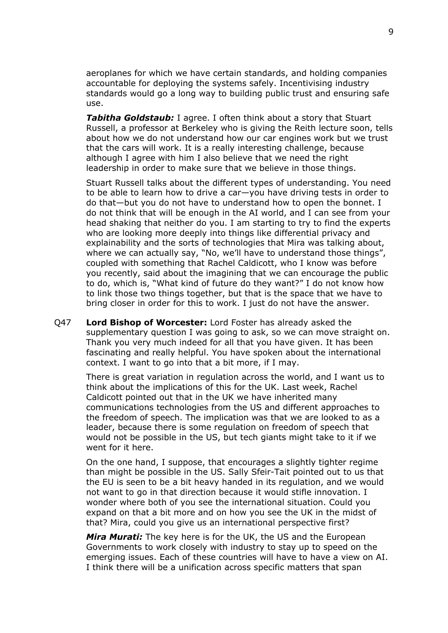aeroplanes for which we have certain standards, and holding companies accountable for deploying the systems safely. Incentivising industry standards would go a long way to building public trust and ensuring safe use.

*Tabitha Goldstaub:* I agree. I often think about a story that Stuart Russell, a professor at Berkeley who is giving the Reith lecture soon, tells about how we do not understand how our car engines work but we trust that the cars will work. It is a really interesting challenge, because although I agree with him I also believe that we need the right leadership in order to make sure that we believe in those things.

Stuart Russell talks about the different types of understanding. You need to be able to learn how to drive a car—you have driving tests in order to do that—but you do not have to understand how to open the bonnet. I do not think that will be enough in the AI world, and I can see from your head shaking that neither do you. I am starting to try to find the experts who are looking more deeply into things like differential privacy and explainability and the sorts of technologies that Mira was talking about, where we can actually say, "No, we'll have to understand those things", coupled with something that Rachel Caldicott, who I know was before you recently, said about the imagining that we can encourage the public to do, which is, "What kind of future do they want?" I do not know how to link those two things together, but that is the space that we have to bring closer in order for this to work. I just do not have the answer.

Q47 **Lord Bishop of Worcester:** Lord Foster has already asked the supplementary question I was going to ask, so we can move straight on. Thank you very much indeed for all that you have given. It has been fascinating and really helpful. You have spoken about the international context. I want to go into that a bit more, if I may.

There is great variation in regulation across the world, and I want us to think about the implications of this for the UK. Last week, Rachel Caldicott pointed out that in the UK we have inherited many communications technologies from the US and different approaches to the freedom of speech. The implication was that we are looked to as a leader, because there is some regulation on freedom of speech that would not be possible in the US, but tech giants might take to it if we went for it here.

On the one hand, I suppose, that encourages a slightly tighter regime than might be possible in the US. Sally Sfeir-Tait pointed out to us that the EU is seen to be a bit heavy handed in its regulation, and we would not want to go in that direction because it would stifle innovation. I wonder where both of you see the international situation. Could you expand on that a bit more and on how you see the UK in the midst of that? Mira, could you give us an international perspective first?

*Mira Murati:* The key here is for the UK, the US and the European Governments to work closely with industry to stay up to speed on the emerging issues. Each of these countries will have to have a view on AI. I think there will be a unification across specific matters that span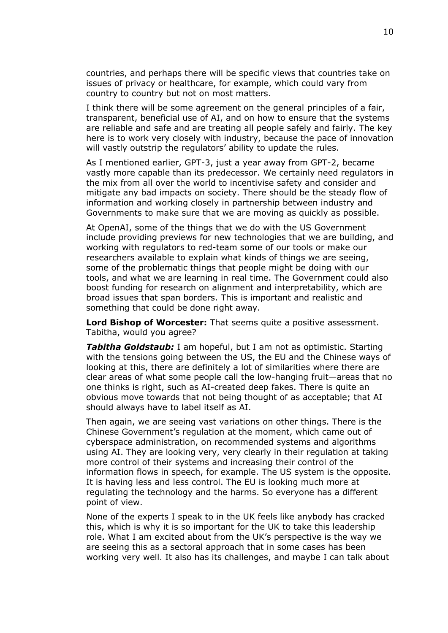countries, and perhaps there will be specific views that countries take on issues of privacy or healthcare, for example, which could vary from country to country but not on most matters.

I think there will be some agreement on the general principles of a fair, transparent, beneficial use of AI, and on how to ensure that the systems are reliable and safe and are treating all people safely and fairly. The key here is to work very closely with industry, because the pace of innovation will vastly outstrip the regulators' ability to update the rules.

As I mentioned earlier, GPT-3, just a year away from GPT-2, became vastly more capable than its predecessor. We certainly need regulators in the mix from all over the world to incentivise safety and consider and mitigate any bad impacts on society. There should be the steady flow of information and working closely in partnership between industry and Governments to make sure that we are moving as quickly as possible.

At OpenAI, some of the things that we do with the US Government include providing previews for new technologies that we are building, and working with regulators to red-team some of our tools or make our researchers available to explain what kinds of things we are seeing, some of the problematic things that people might be doing with our tools, and what we are learning in real time. The Government could also boost funding for research on alignment and interpretability, which are broad issues that span borders. This is important and realistic and something that could be done right away.

**Lord Bishop of Worcester:** That seems quite a positive assessment. Tabitha, would you agree?

*Tabitha Goldstaub:* I am hopeful, but I am not as optimistic. Starting with the tensions going between the US, the EU and the Chinese ways of looking at this, there are definitely a lot of similarities where there are clear areas of what some people call the low-hanging fruit—areas that no one thinks is right, such as AI-created deep fakes. There is quite an obvious move towards that not being thought of as acceptable; that AI should always have to label itself as AI.

Then again, we are seeing vast variations on other things. There is the Chinese Government's regulation at the moment, which came out of cyberspace administration, on recommended systems and algorithms using AI. They are looking very, very clearly in their regulation at taking more control of their systems and increasing their control of the information flows in speech, for example. The US system is the opposite. It is having less and less control. The EU is looking much more at regulating the technology and the harms. So everyone has a different point of view.

None of the experts I speak to in the UK feels like anybody has cracked this, which is why it is so important for the UK to take this leadership role. What I am excited about from the UK's perspective is the way we are seeing this as a sectoral approach that in some cases has been working very well. It also has its challenges, and maybe I can talk about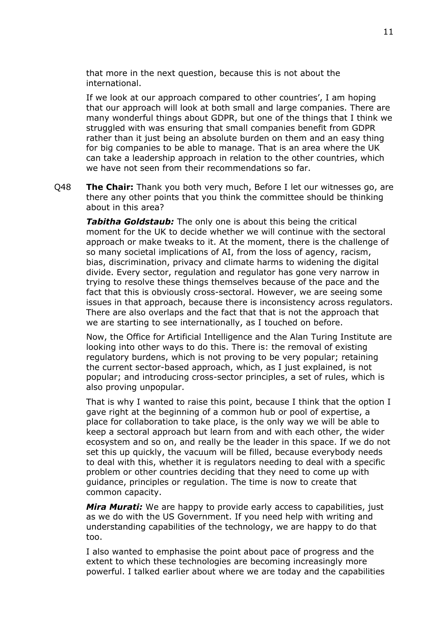that more in the next question, because this is not about the international.

If we look at our approach compared to other countries', I am hoping that our approach will look at both small and large companies. There are many wonderful things about GDPR, but one of the things that I think we struggled with was ensuring that small companies benefit from GDPR rather than it just being an absolute burden on them and an easy thing for big companies to be able to manage. That is an area where the UK can take a leadership approach in relation to the other countries, which we have not seen from their recommendations so far.

Q48 **The Chair:** Thank you both very much, Before I let our witnesses go, are there any other points that you think the committee should be thinking about in this area?

*Tabitha Goldstaub:* The only one is about this being the critical moment for the UK to decide whether we will continue with the sectoral approach or make tweaks to it. At the moment, there is the challenge of so many societal implications of AI, from the loss of agency, racism, bias, discrimination, privacy and climate harms to widening the digital divide. Every sector, regulation and regulator has gone very narrow in trying to resolve these things themselves because of the pace and the fact that this is obviously cross-sectoral. However, we are seeing some issues in that approach, because there is inconsistency across regulators. There are also overlaps and the fact that that is not the approach that we are starting to see internationally, as I touched on before.

Now, the Office for Artificial Intelligence and the Alan Turing Institute are looking into other ways to do this. There is: the removal of existing regulatory burdens, which is not proving to be very popular; retaining the current sector-based approach, which, as I just explained, is not popular; and introducing cross-sector principles, a set of rules, which is also proving unpopular.

That is why I wanted to raise this point, because I think that the option I gave right at the beginning of a common hub or pool of expertise, a place for collaboration to take place, is the only way we will be able to keep a sectoral approach but learn from and with each other, the wider ecosystem and so on, and really be the leader in this space. If we do not set this up quickly, the vacuum will be filled, because everybody needs to deal with this, whether it is regulators needing to deal with a specific problem or other countries deciding that they need to come up with guidance, principles or regulation. The time is now to create that common capacity.

*Mira Murati:* We are happy to provide early access to capabilities, just as we do with the US Government. If you need help with writing and understanding capabilities of the technology, we are happy to do that too.

I also wanted to emphasise the point about pace of progress and the extent to which these technologies are becoming increasingly more powerful. I talked earlier about where we are today and the capabilities